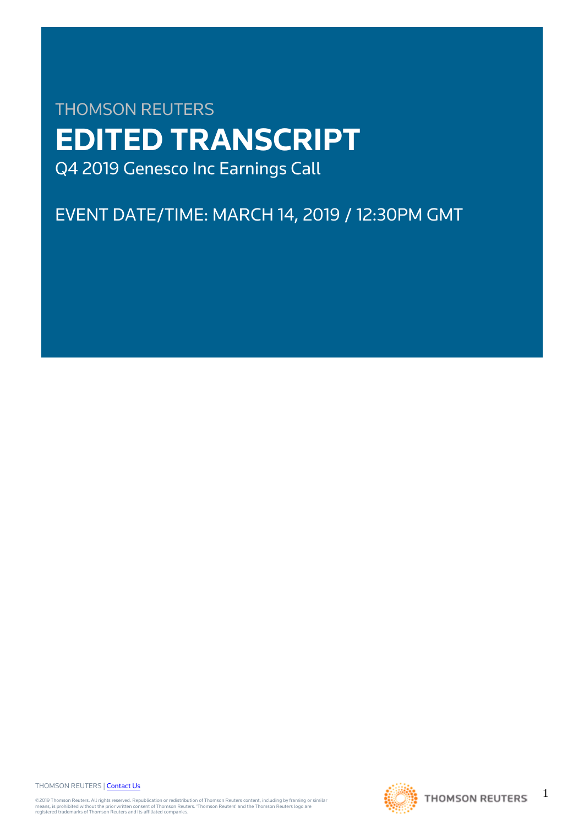# THOMSON REUTERS **EDITED TRANSCRIPT** Q4 2019 Genesco Inc Earnings Call

EVENT DATE/TIME: MARCH 14, 2019 / 12:30PM GMT

THOMSON REUTERS | [Contact Us](https://my.thomsonreuters.com/ContactUsNew)

©2019 Thomson Reuters. All rights reserved. Republication or redistribution of Thomson Reuters content, including by framing or similar<br>means, is prohibited without the prior written consent of Thomson Reuters. "Thomson Re



1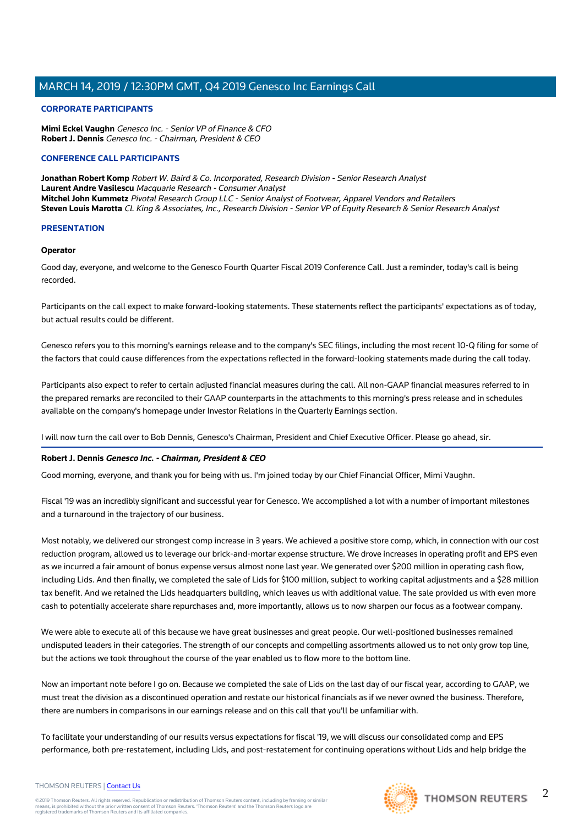#### **CORPORATE PARTICIPANTS**

**Mimi Eckel Vaughn** Genesco Inc. - Senior VP of Finance & CFO **Robert J. Dennis** Genesco Inc. - Chairman, President & CEO

#### **CONFERENCE CALL PARTICIPANTS**

**Jonathan Robert Komp** Robert W. Baird & Co. Incorporated, Research Division - Senior Research Analyst **Laurent Andre Vasilescu** Macquarie Research - Consumer Analyst **Mitchel John Kummetz** Pivotal Research Group LLC - Senior Analyst of Footwear, Apparel Vendors and Retailers **Steven Louis Marotta** CL King & Associates, Inc., Research Division - Senior VP of Equity Research & Senior Research Analyst

#### **PRESENTATION**

#### **Operator**

Good day, everyone, and welcome to the Genesco Fourth Quarter Fiscal 2019 Conference Call. Just a reminder, today's call is being recorded.

Participants on the call expect to make forward-looking statements. These statements reflect the participants' expectations as of today, but actual results could be different.

Genesco refers you to this morning's earnings release and to the company's SEC filings, including the most recent 10-Q filing for some of the factors that could cause differences from the expectations reflected in the forward-looking statements made during the call today.

Participants also expect to refer to certain adjusted financial measures during the call. All non-GAAP financial measures referred to in the prepared remarks are reconciled to their GAAP counterparts in the attachments to this morning's press release and in schedules available on the company's homepage under Investor Relations in the Quarterly Earnings section.

I will now turn the call over to Bob Dennis, Genesco's Chairman, President and Chief Executive Officer. Please go ahead, sir.

#### **Robert J. Dennis Genesco Inc. - Chairman, President & CEO**

Good morning, everyone, and thank you for being with us. I'm joined today by our Chief Financial Officer, Mimi Vaughn.

Fiscal '19 was an incredibly significant and successful year for Genesco. We accomplished a lot with a number of important milestones and a turnaround in the trajectory of our business.

Most notably, we delivered our strongest comp increase in 3 years. We achieved a positive store comp, which, in connection with our cost reduction program, allowed us to leverage our brick-and-mortar expense structure. We drove increases in operating profit and EPS even as we incurred a fair amount of bonus expense versus almost none last year. We generated over \$200 million in operating cash flow, including Lids. And then finally, we completed the sale of Lids for \$100 million, subject to working capital adjustments and a \$28 million tax benefit. And we retained the Lids headquarters building, which leaves us with additional value. The sale provided us with even more cash to potentially accelerate share repurchases and, more importantly, allows us to now sharpen our focus as a footwear company.

We were able to execute all of this because we have great businesses and great people. Our well-positioned businesses remained undisputed leaders in their categories. The strength of our concepts and compelling assortments allowed us to not only grow top line, but the actions we took throughout the course of the year enabled us to flow more to the bottom line.

Now an important note before I go on. Because we completed the sale of Lids on the last day of our fiscal year, according to GAAP, we must treat the division as a discontinued operation and restate our historical financials as if we never owned the business. Therefore, there are numbers in comparisons in our earnings release and on this call that you'll be unfamiliar with.

To facilitate your understanding of our results versus expectations for fiscal '19, we will discuss our consolidated comp and EPS performance, both pre-restatement, including Lids, and post-restatement for continuing operations without Lids and help bridge the



#### THOMSON REUTERS | [Contact Us](https://my.thomsonreuters.com/ContactUsNew)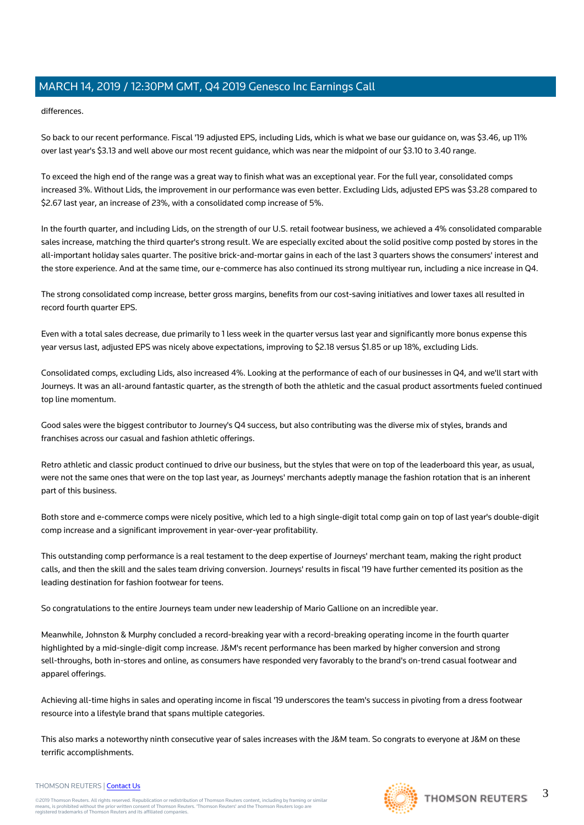differences.

So back to our recent performance. Fiscal '19 adjusted EPS, including Lids, which is what we base our guidance on, was \$3.46, up 11% over last year's \$3.13 and well above our most recent guidance, which was near the midpoint of our \$3.10 to 3.40 range.

To exceed the high end of the range was a great way to finish what was an exceptional year. For the full year, consolidated comps increased 3%. Without Lids, the improvement in our performance was even better. Excluding Lids, adjusted EPS was \$3.28 compared to \$2.67 last year, an increase of 23%, with a consolidated comp increase of 5%.

In the fourth quarter, and including Lids, on the strength of our U.S. retail footwear business, we achieved a 4% consolidated comparable sales increase, matching the third quarter's strong result. We are especially excited about the solid positive comp posted by stores in the all-important holiday sales quarter. The positive brick-and-mortar gains in each of the last 3 quarters shows the consumers' interest and the store experience. And at the same time, our e-commerce has also continued its strong multiyear run, including a nice increase in Q4.

The strong consolidated comp increase, better gross margins, benefits from our cost-saving initiatives and lower taxes all resulted in record fourth quarter EPS.

Even with a total sales decrease, due primarily to 1 less week in the quarter versus last year and significantly more bonus expense this year versus last, adjusted EPS was nicely above expectations, improving to \$2.18 versus \$1.85 or up 18%, excluding Lids.

Consolidated comps, excluding Lids, also increased 4%. Looking at the performance of each of our businesses in Q4, and we'll start with Journeys. It was an all-around fantastic quarter, as the strength of both the athletic and the casual product assortments fueled continued top line momentum.

Good sales were the biggest contributor to Journey's Q4 success, but also contributing was the diverse mix of styles, brands and franchises across our casual and fashion athletic offerings.

Retro athletic and classic product continued to drive our business, but the styles that were on top of the leaderboard this year, as usual, were not the same ones that were on the top last year, as Journeys' merchants adeptly manage the fashion rotation that is an inherent part of this business.

Both store and e-commerce comps were nicely positive, which led to a high single-digit total comp gain on top of last year's double-digit comp increase and a significant improvement in year-over-year profitability.

This outstanding comp performance is a real testament to the deep expertise of Journeys' merchant team, making the right product calls, and then the skill and the sales team driving conversion. Journeys' results in fiscal '19 have further cemented its position as the leading destination for fashion footwear for teens.

So congratulations to the entire Journeys team under new leadership of Mario Gallione on an incredible year.

Meanwhile, Johnston & Murphy concluded a record-breaking year with a record-breaking operating income in the fourth quarter highlighted by a mid-single-digit comp increase. J&M's recent performance has been marked by higher conversion and strong sell-throughs, both in-stores and online, as consumers have responded very favorably to the brand's on-trend casual footwear and apparel offerings.

Achieving all-time highs in sales and operating income in fiscal '19 underscores the team's success in pivoting from a dress footwear resource into a lifestyle brand that spans multiple categories.

This also marks a noteworthy ninth consecutive year of sales increases with the J&M team. So congrats to everyone at J&M on these terrific accomplishments.



#### THOMSON REUTERS | [Contact Us](https://my.thomsonreuters.com/ContactUsNew)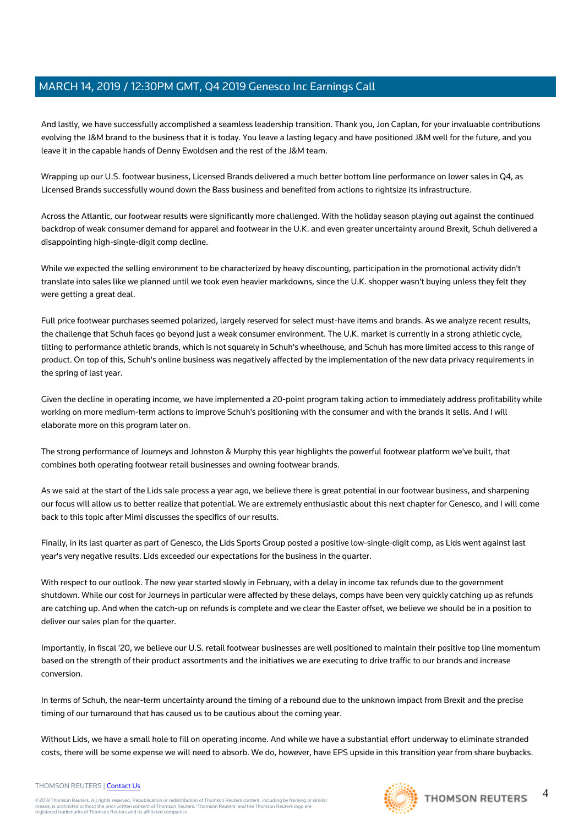And lastly, we have successfully accomplished a seamless leadership transition. Thank you, Jon Caplan, for your invaluable contributions evolving the J&M brand to the business that it is today. You leave a lasting legacy and have positioned J&M well for the future, and you leave it in the capable hands of Denny Ewoldsen and the rest of the J&M team.

Wrapping up our U.S. footwear business, Licensed Brands delivered a much better bottom line performance on lower sales in Q4, as Licensed Brands successfully wound down the Bass business and benefited from actions to rightsize its infrastructure.

Across the Atlantic, our footwear results were significantly more challenged. With the holiday season playing out against the continued backdrop of weak consumer demand for apparel and footwear in the U.K. and even greater uncertainty around Brexit, Schuh delivered a disappointing high-single-digit comp decline.

While we expected the selling environment to be characterized by heavy discounting, participation in the promotional activity didn't translate into sales like we planned until we took even heavier markdowns, since the U.K. shopper wasn't buying unless they felt they were getting a great deal.

Full price footwear purchases seemed polarized, largely reserved for select must-have items and brands. As we analyze recent results, the challenge that Schuh faces go beyond just a weak consumer environment. The U.K. market is currently in a strong athletic cycle, tilting to performance athletic brands, which is not squarely in Schuh's wheelhouse, and Schuh has more limited access to this range of product. On top of this, Schuh's online business was negatively affected by the implementation of the new data privacy requirements in the spring of last year.

Given the decline in operating income, we have implemented a 20-point program taking action to immediately address profitability while working on more medium-term actions to improve Schuh's positioning with the consumer and with the brands it sells. And I will elaborate more on this program later on.

The strong performance of Journeys and Johnston & Murphy this year highlights the powerful footwear platform we've built, that combines both operating footwear retail businesses and owning footwear brands.

As we said at the start of the Lids sale process a year ago, we believe there is great potential in our footwear business, and sharpening our focus will allow us to better realize that potential. We are extremely enthusiastic about this next chapter for Genesco, and I will come back to this topic after Mimi discusses the specifics of our results.

Finally, in its last quarter as part of Genesco, the Lids Sports Group posted a positive low-single-digit comp, as Lids went against last year's very negative results. Lids exceeded our expectations for the business in the quarter.

With respect to our outlook. The new year started slowly in February, with a delay in income tax refunds due to the government shutdown. While our cost for Journeys in particular were affected by these delays, comps have been very quickly catching up as refunds are catching up. And when the catch-up on refunds is complete and we clear the Easter offset, we believe we should be in a position to deliver our sales plan for the quarter.

Importantly, in fiscal '20, we believe our U.S. retail footwear businesses are well positioned to maintain their positive top line momentum based on the strength of their product assortments and the initiatives we are executing to drive traffic to our brands and increase conversion.

In terms of Schuh, the near-term uncertainty around the timing of a rebound due to the unknown impact from Brexit and the precise timing of our turnaround that has caused us to be cautious about the coming year.

Without Lids, we have a small hole to fill on operating income. And while we have a substantial effort underway to eliminate stranded costs, there will be some expense we will need to absorb. We do, however, have EPS upside in this transition year from share buybacks.

THOMSON REUTERS | [Contact Us](https://my.thomsonreuters.com/ContactUsNew)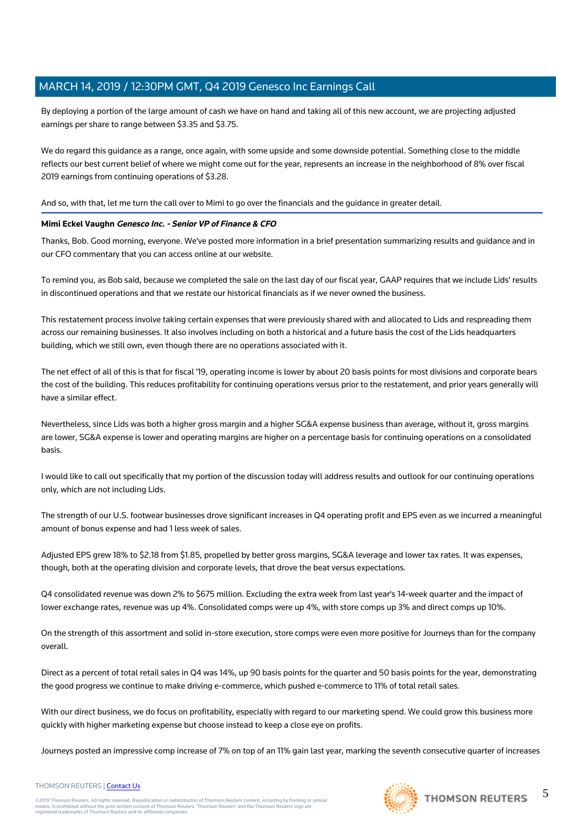By deploying a portion of the large amount of cash we have on hand and taking all of this new account, we are projecting adjusted earnings per share to range between \$3.35 and \$3.75.

We do regard this guidance as a range, once again, with some upside and some downside potential. Something close to the middle reflects our best current belief of where we might come out for the year, represents an increase in the neighborhood of 8% over fiscal 2019 earnings from continuing operations of \$3.28.

And so, with that, let me turn the call over to Mimi to go over the financials and the guidance in greater detail.

#### **Mimi Eckel Vaughn Genesco Inc. - Senior VP of Finance & CFO**

Thanks, Bob. Good morning, everyone. We've posted more information in a brief presentation summarizing results and guidance and in our CFO commentary that you can access online at our website.

To remind you, as Bob said, because we completed the sale on the last day of our fiscal year, GAAP requires that we include Lids' results in discontinued operations and that we restate our historical financials as if we never owned the business.

This restatement process involve taking certain expenses that were previously shared with and allocated to Lids and respreading them across our remaining businesses. It also involves including on both a historical and a future basis the cost of the Lids headquarters building, which we still own, even though there are no operations associated with it.

The net effect of all of this is that for fiscal '19, operating income is lower by about 20 basis points for most divisions and corporate bears the cost of the building. This reduces profitability for continuing operations versus prior to the restatement, and prior years generally will have a similar effect.

Nevertheless, since Lids was both a higher gross margin and a higher SG&A expense business than average, without it, gross margins are lower, SG&A expense is lower and operating margins are higher on a percentage basis for continuing operations on a consolidated basis.

I would like to call out specifically that my portion of the discussion today will address results and outlook for our continuing operations only, which are not including Lids.

The strength of our U.S. footwear businesses drove significant increases in Q4 operating profit and EPS even as we incurred a meaningful amount of bonus expense and had 1 less week of sales.

Adjusted EPS grew 18% to \$2.18 from \$1.85, propelled by better gross margins, SG&A leverage and lower tax rates. It was expenses, though, both at the operating division and corporate levels, that drove the beat versus expectations.

Q4 consolidated revenue was down 2% to \$675 million. Excluding the extra week from last year's 14-week quarter and the impact of lower exchange rates, revenue was up 4%. Consolidated comps were up 4%, with store comps up 3% and direct comps up 10%.

On the strength of this assortment and solid in-store execution, store comps were even more positive for Journeys than for the company overall.

Direct as a percent of total retail sales in Q4 was 14%, up 90 basis points for the quarter and 50 basis points for the year, demonstrating the good progress we continue to make driving e-commerce, which pushed e-commerce to 11% of total retail sales.

With our direct business, we do focus on profitability, especially with regard to our marketing spend. We could grow this business more quickly with higher marketing expense but choose instead to keep a close eye on profits.

Journeys posted an impressive comp increase of 7% on top of an 11% gain last year, marking the seventh consecutive quarter of increases

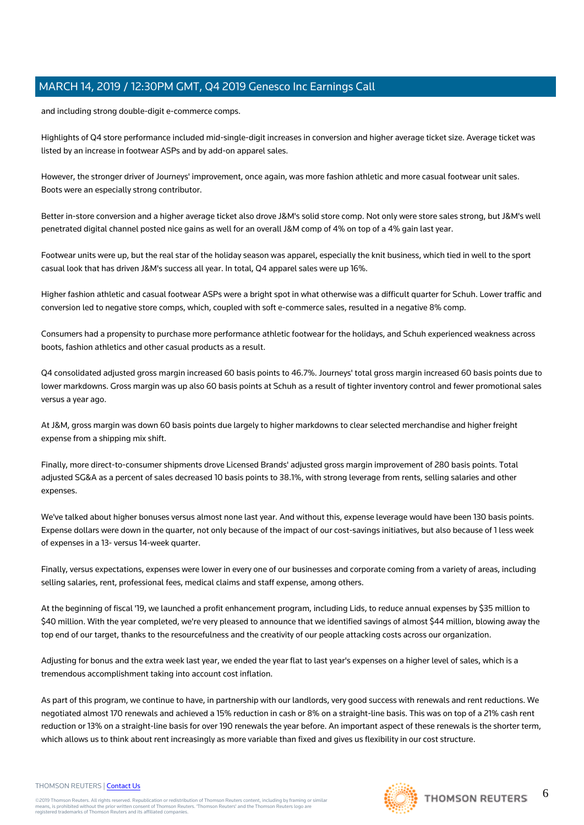and including strong double-digit e-commerce comps.

Highlights of Q4 store performance included mid-single-digit increases in conversion and higher average ticket size. Average ticket was listed by an increase in footwear ASPs and by add-on apparel sales.

However, the stronger driver of Journeys' improvement, once again, was more fashion athletic and more casual footwear unit sales. Boots were an especially strong contributor.

Better in-store conversion and a higher average ticket also drove J&M's solid store comp. Not only were store sales strong, but J&M's well penetrated digital channel posted nice gains as well for an overall J&M comp of 4% on top of a 4% gain last year.

Footwear units were up, but the real star of the holiday season was apparel, especially the knit business, which tied in well to the sport casual look that has driven J&M's success all year. In total, Q4 apparel sales were up 16%.

Higher fashion athletic and casual footwear ASPs were a bright spot in what otherwise was a difficult quarter for Schuh. Lower traffic and conversion led to negative store comps, which, coupled with soft e-commerce sales, resulted in a negative 8% comp.

Consumers had a propensity to purchase more performance athletic footwear for the holidays, and Schuh experienced weakness across boots, fashion athletics and other casual products as a result.

Q4 consolidated adjusted gross margin increased 60 basis points to 46.7%. Journeys' total gross margin increased 60 basis points due to lower markdowns. Gross margin was up also 60 basis points at Schuh as a result of tighter inventory control and fewer promotional sales versus a year ago.

At J&M, gross margin was down 60 basis points due largely to higher markdowns to clear selected merchandise and higher freight expense from a shipping mix shift.

Finally, more direct-to-consumer shipments drove Licensed Brands' adjusted gross margin improvement of 280 basis points. Total adjusted SG&A as a percent of sales decreased 10 basis points to 38.1%, with strong leverage from rents, selling salaries and other expenses.

We've talked about higher bonuses versus almost none last year. And without this, expense leverage would have been 130 basis points. Expense dollars were down in the quarter, not only because of the impact of our cost-savings initiatives, but also because of 1 less week of expenses in a 13- versus 14-week quarter.

Finally, versus expectations, expenses were lower in every one of our businesses and corporate coming from a variety of areas, including selling salaries, rent, professional fees, medical claims and staff expense, among others.

At the beginning of fiscal '19, we launched a profit enhancement program, including Lids, to reduce annual expenses by \$35 million to \$40 million. With the year completed, we're very pleased to announce that we identified savings of almost \$44 million, blowing away the top end of our target, thanks to the resourcefulness and the creativity of our people attacking costs across our organization.

Adjusting for bonus and the extra week last year, we ended the year flat to last year's expenses on a higher level of sales, which is a tremendous accomplishment taking into account cost inflation.

As part of this program, we continue to have, in partnership with our landlords, very good success with renewals and rent reductions. We negotiated almost 170 renewals and achieved a 15% reduction in cash or 8% on a straight-line basis. This was on top of a 21% cash rent reduction or 13% on a straight-line basis for over 190 renewals the year before. An important aspect of these renewals is the shorter term, which allows us to think about rent increasingly as more variable than fixed and gives us flexibility in our cost structure.



#### THOMSON REUTERS | [Contact Us](https://my.thomsonreuters.com/ContactUsNew)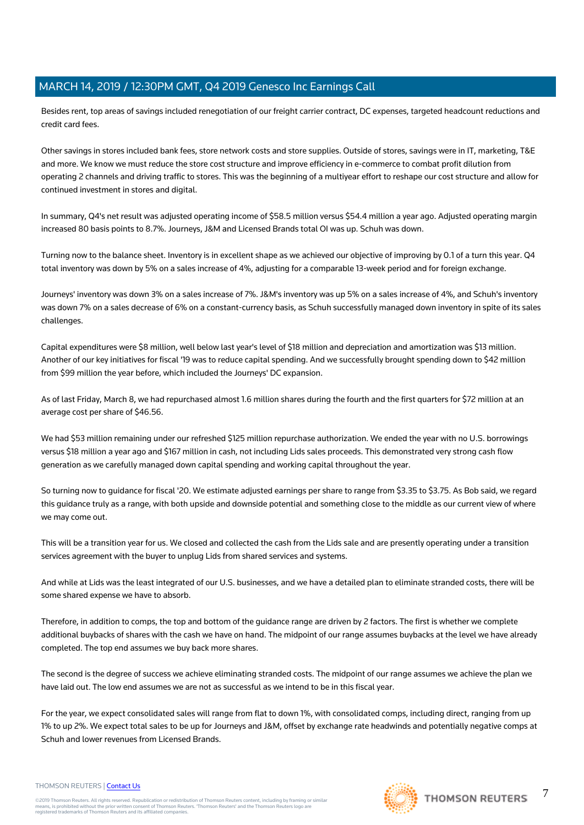Besides rent, top areas of savings included renegotiation of our freight carrier contract, DC expenses, targeted headcount reductions and credit card fees.

Other savings in stores included bank fees, store network costs and store supplies. Outside of stores, savings were in IT, marketing, T&E and more. We know we must reduce the store cost structure and improve efficiency in e-commerce to combat profit dilution from operating 2 channels and driving traffic to stores. This was the beginning of a multiyear effort to reshape our cost structure and allow for continued investment in stores and digital.

In summary, Q4's net result was adjusted operating income of \$58.5 million versus \$54.4 million a year ago. Adjusted operating margin increased 80 basis points to 8.7%. Journeys, J&M and Licensed Brands total OI was up. Schuh was down.

Turning now to the balance sheet. Inventory is in excellent shape as we achieved our objective of improving by 0.1 of a turn this year. Q4 total inventory was down by 5% on a sales increase of 4%, adjusting for a comparable 13-week period and for foreign exchange.

Journeys' inventory was down 3% on a sales increase of 7%. J&M's inventory was up 5% on a sales increase of 4%, and Schuh's inventory was down 7% on a sales decrease of 6% on a constant-currency basis, as Schuh successfully managed down inventory in spite of its sales challenges.

Capital expenditures were \$8 million, well below last year's level of \$18 million and depreciation and amortization was \$13 million. Another of our key initiatives for fiscal '19 was to reduce capital spending. And we successfully brought spending down to \$42 million from \$99 million the year before, which included the Journeys' DC expansion.

As of last Friday, March 8, we had repurchased almost 1.6 million shares during the fourth and the first quarters for \$72 million at an average cost per share of \$46.56.

We had \$53 million remaining under our refreshed \$125 million repurchase authorization. We ended the year with no U.S. borrowings versus \$18 million a year ago and \$167 million in cash, not including Lids sales proceeds. This demonstrated very strong cash flow generation as we carefully managed down capital spending and working capital throughout the year.

So turning now to guidance for fiscal '20. We estimate adjusted earnings per share to range from \$3.35 to \$3.75. As Bob said, we regard this guidance truly as a range, with both upside and downside potential and something close to the middle as our current view of where we may come out.

This will be a transition year for us. We closed and collected the cash from the Lids sale and are presently operating under a transition services agreement with the buyer to unplug Lids from shared services and systems.

And while at Lids was the least integrated of our U.S. businesses, and we have a detailed plan to eliminate stranded costs, there will be some shared expense we have to absorb.

Therefore, in addition to comps, the top and bottom of the guidance range are driven by 2 factors. The first is whether we complete additional buybacks of shares with the cash we have on hand. The midpoint of our range assumes buybacks at the level we have already completed. The top end assumes we buy back more shares.

The second is the degree of success we achieve eliminating stranded costs. The midpoint of our range assumes we achieve the plan we have laid out. The low end assumes we are not as successful as we intend to be in this fiscal year.

For the year, we expect consolidated sales will range from flat to down 1%, with consolidated comps, including direct, ranging from up 1% to up 2%. We expect total sales to be up for Journeys and J&M, offset by exchange rate headwinds and potentially negative comps at Schuh and lower revenues from Licensed Brands.



#### THOMSON REUTERS | [Contact Us](https://my.thomsonreuters.com/ContactUsNew)

©2019 Thomson Reuters. All rights reserved. Republication or redistribution of Thomson Reuters content, including by framing or similar<br>means, is prohibited without the prior written consent of Thomson Reuters. "Thomson Re

7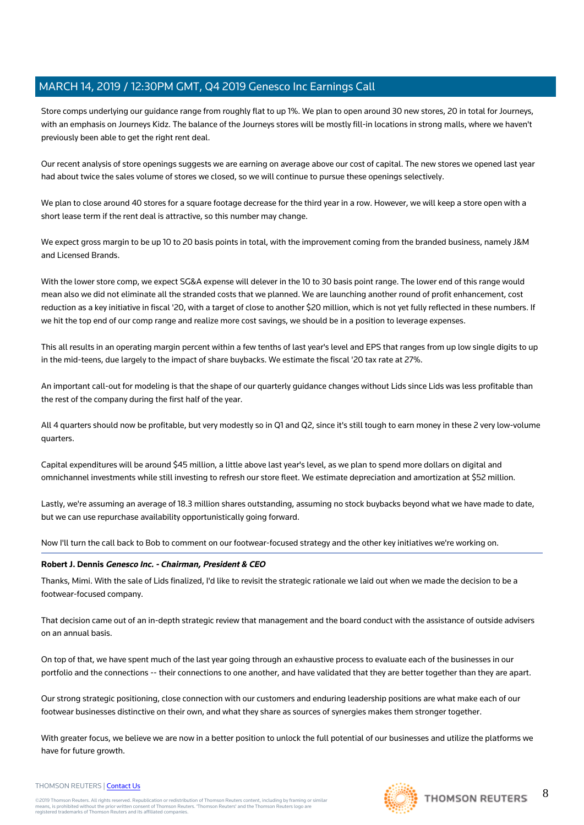Store comps underlying our guidance range from roughly flat to up 1%. We plan to open around 30 new stores, 20 in total for Journeys, with an emphasis on Journeys Kidz. The balance of the Journeys stores will be mostly fill-in locations in strong malls, where we haven't previously been able to get the right rent deal.

Our recent analysis of store openings suggests we are earning on average above our cost of capital. The new stores we opened last year had about twice the sales volume of stores we closed, so we will continue to pursue these openings selectively.

We plan to close around 40 stores for a square footage decrease for the third year in a row. However, we will keep a store open with a short lease term if the rent deal is attractive, so this number may change.

We expect gross margin to be up 10 to 20 basis points in total, with the improvement coming from the branded business, namely J&M and Licensed Brands.

With the lower store comp, we expect SG&A expense will delever in the 10 to 30 basis point range. The lower end of this range would mean also we did not eliminate all the stranded costs that we planned. We are launching another round of profit enhancement, cost reduction as a key initiative in fiscal '20, with a target of close to another \$20 million, which is not yet fully reflected in these numbers. If we hit the top end of our comp range and realize more cost savings, we should be in a position to leverage expenses.

This all results in an operating margin percent within a few tenths of last year's level and EPS that ranges from up low single digits to up in the mid-teens, due largely to the impact of share buybacks. We estimate the fiscal '20 tax rate at 27%.

An important call-out for modeling is that the shape of our quarterly guidance changes without Lids since Lids was less profitable than the rest of the company during the first half of the year.

All 4 quarters should now be profitable, but very modestly so in Q1 and Q2, since it's still tough to earn money in these 2 very low-volume quarters.

Capital expenditures will be around \$45 million, a little above last year's level, as we plan to spend more dollars on digital and omnichannel investments while still investing to refresh our store fleet. We estimate depreciation and amortization at \$52 million.

Lastly, we're assuming an average of 18.3 million shares outstanding, assuming no stock buybacks beyond what we have made to date, but we can use repurchase availability opportunistically going forward.

Now I'll turn the call back to Bob to comment on our footwear-focused strategy and the other key initiatives we're working on.

#### **Robert J. Dennis Genesco Inc. - Chairman, President & CEO**

Thanks, Mimi. With the sale of Lids finalized, I'd like to revisit the strategic rationale we laid out when we made the decision to be a footwear-focused company.

That decision came out of an in-depth strategic review that management and the board conduct with the assistance of outside advisers on an annual basis.

On top of that, we have spent much of the last year going through an exhaustive process to evaluate each of the businesses in our portfolio and the connections -- their connections to one another, and have validated that they are better together than they are apart.

Our strong strategic positioning, close connection with our customers and enduring leadership positions are what make each of our footwear businesses distinctive on their own, and what they share as sources of synergies makes them stronger together.

With greater focus, we believe we are now in a better position to unlock the full potential of our businesses and utilize the platforms we have for future growth.



## THOMSON REUTERS

8

#### THOMSON REUTERS | [Contact Us](https://my.thomsonreuters.com/ContactUsNew)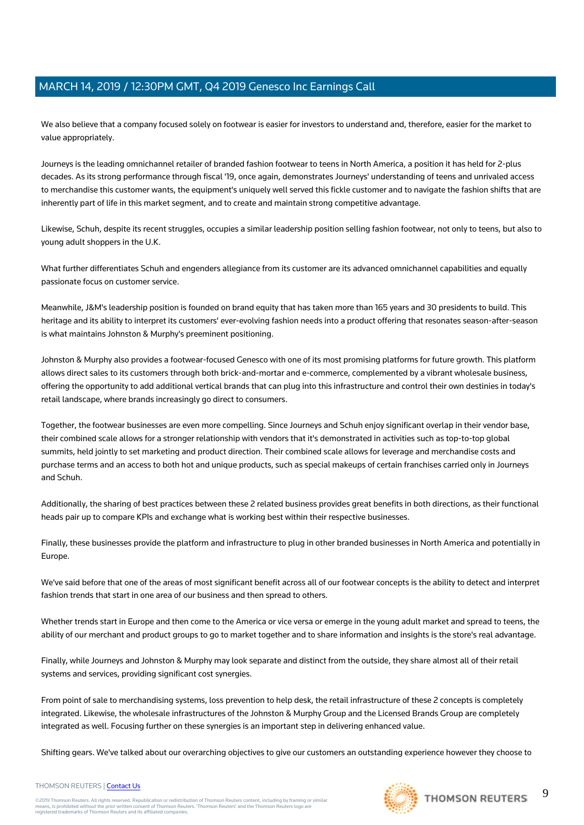We also believe that a company focused solely on footwear is easier for investors to understand and, therefore, easier for the market to value appropriately.

Journeys is the leading omnichannel retailer of branded fashion footwear to teens in North America, a position it has held for 2-plus decades. As its strong performance through fiscal '19, once again, demonstrates Journeys' understanding of teens and unrivaled access to merchandise this customer wants, the equipment's uniquely well served this fickle customer and to navigate the fashion shifts that are inherently part of life in this market segment, and to create and maintain strong competitive advantage.

Likewise, Schuh, despite its recent struggles, occupies a similar leadership position selling fashion footwear, not only to teens, but also to young adult shoppers in the U.K.

What further differentiates Schuh and engenders allegiance from its customer are its advanced omnichannel capabilities and equally passionate focus on customer service.

Meanwhile, J&M's leadership position is founded on brand equity that has taken more than 165 years and 30 presidents to build. This heritage and its ability to interpret its customers' ever-evolving fashion needs into a product offering that resonates season-after-season is what maintains Johnston & Murphy's preeminent positioning.

Johnston & Murphy also provides a footwear-focused Genesco with one of its most promising platforms for future growth. This platform allows direct sales to its customers through both brick-and-mortar and e-commerce, complemented by a vibrant wholesale business, offering the opportunity to add additional vertical brands that can plug into this infrastructure and control their own destinies in today's retail landscape, where brands increasingly go direct to consumers.

Together, the footwear businesses are even more compelling. Since Journeys and Schuh enjoy significant overlap in their vendor base, their combined scale allows for a stronger relationship with vendors that it's demonstrated in activities such as top-to-top global summits, held jointly to set marketing and product direction. Their combined scale allows for leverage and merchandise costs and purchase terms and an access to both hot and unique products, such as special makeups of certain franchises carried only in Journeys and Schuh.

Additionally, the sharing of best practices between these 2 related business provides great benefits in both directions, as their functional heads pair up to compare KPIs and exchange what is working best within their respective businesses.

Finally, these businesses provide the platform and infrastructure to plug in other branded businesses in North America and potentially in Europe.

We've said before that one of the areas of most significant benefit across all of our footwear concepts is the ability to detect and interpret fashion trends that start in one area of our business and then spread to others.

Whether trends start in Europe and then come to the America or vice versa or emerge in the young adult market and spread to teens, the ability of our merchant and product groups to go to market together and to share information and insights is the store's real advantage.

Finally, while Journeys and Johnston & Murphy may look separate and distinct from the outside, they share almost all of their retail systems and services, providing significant cost synergies.

From point of sale to merchandising systems, loss prevention to help desk, the retail infrastructure of these 2 concepts is completely integrated. Likewise, the wholesale infrastructures of the Johnston & Murphy Group and the Licensed Brands Group are completely integrated as well. Focusing further on these synergies is an important step in delivering enhanced value.

Shifting gears. We've talked about our overarching objectives to give our customers an outstanding experience however they choose to



9

#### THOMSON REUTERS | [Contact Us](https://my.thomsonreuters.com/ContactUsNew)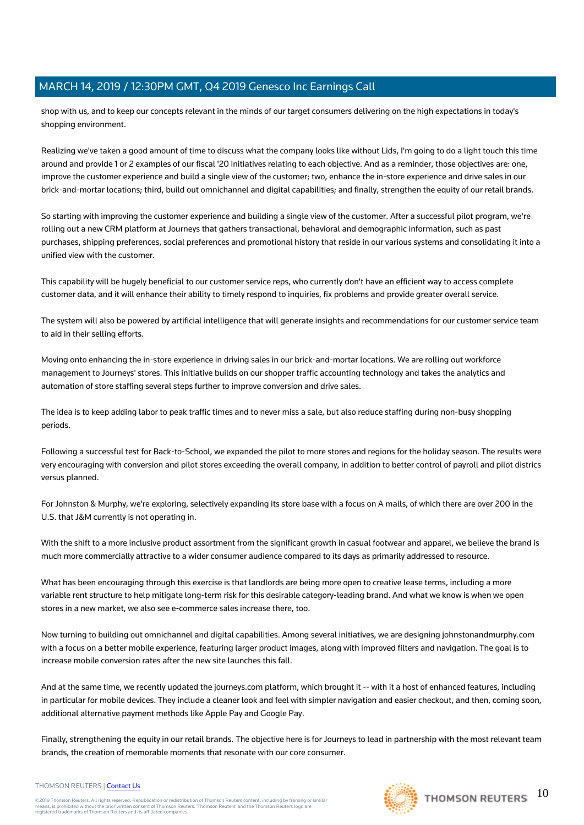shop with us, and to keep our concepts relevant in the minds of our target consumers delivering on the high expectations in today's shopping environment.

Realizing we've taken a good amount of time to discuss what the company looks like without Lids, I'm going to do a light touch this time around and provide 1 or 2 examples of our fiscal '20 initiatives relating to each objective. And as a reminder, those objectives are: one, improve the customer experience and build a single view of the customer; two, enhance the in-store experience and drive sales in our brick-and-mortar locations; third, build out omnichannel and digital capabilities; and finally, strengthen the equity of our retail brands.

So starting with improving the customer experience and building a single view of the customer. After a successful pilot program, we're rolling out a new CRM platform at Journeys that gathers transactional, behavioral and demographic information, such as past purchases, shipping preferences, social preferences and promotional history that reside in our various systems and consolidating it into a unified view with the customer.

This capability will be hugely beneficial to our customer service reps, who currently don't have an efficient way to access complete customer data, and it will enhance their ability to timely respond to inquiries, fix problems and provide greater overall service.

The system will also be powered by artificial intelligence that will generate insights and recommendations for our customer service team to aid in their selling efforts.

Moving onto enhancing the in-store experience in driving sales in our brick-and-mortar locations. We are rolling out workforce management to Journeys' stores. This initiative builds on our shopper traffic accounting technology and takes the analytics and automation of store staffing several steps further to improve conversion and drive sales.

The idea is to keep adding labor to peak traffic times and to never miss a sale, but also reduce staffing during non-busy shopping periods.

Following a successful test for Back-to-School, we expanded the pilot to more stores and regions for the holiday season. The results were very encouraging with conversion and pilot stores exceeding the overall company, in addition to better control of payroll and pilot districs versus planned.

For Johnston & Murphy, we're exploring, selectively expanding its store base with a focus on A malls, of which there are over 200 in the U.S. that J&M currently is not operating in.

With the shift to a more inclusive product assortment from the significant growth in casual footwear and apparel, we believe the brand is much more commercially attractive to a wider consumer audience compared to its days as primarily addressed to resource.

What has been encouraging through this exercise is that landlords are being more open to creative lease terms, including a more variable rent structure to help mitigate long-term risk for this desirable category-leading brand. And what we know is when we open stores in a new market, we also see e-commerce sales increase there, too.

Now turning to building out omnichannel and digital capabilities. Among several initiatives, we are designing johnstonandmurphy.com with a focus on a better mobile experience, featuring larger product images, along with improved filters and navigation. The goal is to increase mobile conversion rates after the new site launches this fall.

And at the same time, we recently updated the journeys.com platform, which brought it -- with it a host of enhanced features, including in particular for mobile devices. They include a cleaner look and feel with simpler navigation and easier checkout, and then, coming soon, additional alternative payment methods like Apple Pay and Google Pay.

Finally, strengthening the equity in our retail brands. The objective here is for Journeys to lead in partnership with the most relevant team brands, the creation of memorable moments that resonate with our core consumer.



#### THOMSON REUTERS | [Contact Us](https://my.thomsonreuters.com/ContactUsNew)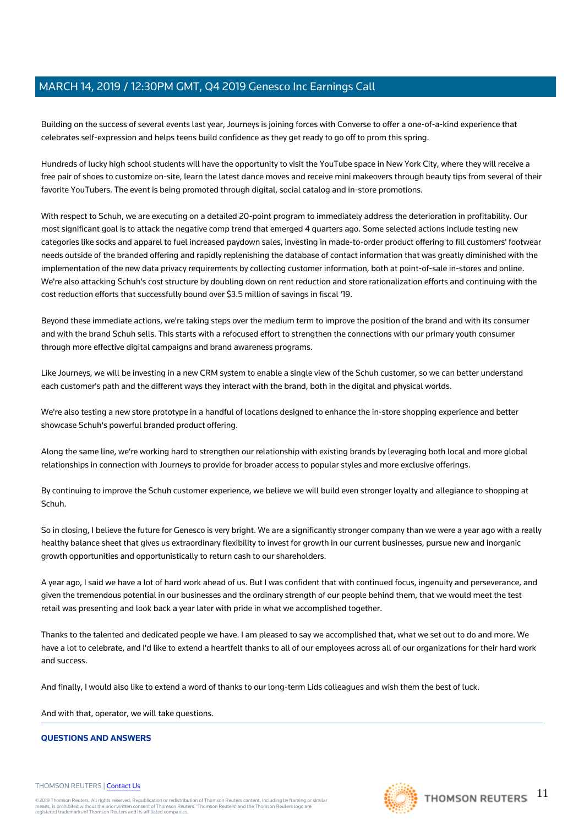Building on the success of several events last year, Journeys is joining forces with Converse to offer a one-of-a-kind experience that celebrates self-expression and helps teens build confidence as they get ready to go off to prom this spring.

Hundreds of lucky high school students will have the opportunity to visit the YouTube space in New York City, where they will receive a free pair of shoes to customize on-site, learn the latest dance moves and receive mini makeovers through beauty tips from several of their favorite YouTubers. The event is being promoted through digital, social catalog and in-store promotions.

With respect to Schuh, we are executing on a detailed 20-point program to immediately address the deterioration in profitability. Our most significant goal is to attack the negative comp trend that emerged 4 quarters ago. Some selected actions include testing new categories like socks and apparel to fuel increased paydown sales, investing in made-to-order product offering to fill customers' footwear needs outside of the branded offering and rapidly replenishing the database of contact information that was greatly diminished with the implementation of the new data privacy requirements by collecting customer information, both at point-of-sale in-stores and online. We're also attacking Schuh's cost structure by doubling down on rent reduction and store rationalization efforts and continuing with the cost reduction efforts that successfully bound over \$3.5 million of savings in fiscal '19.

Beyond these immediate actions, we're taking steps over the medium term to improve the position of the brand and with its consumer and with the brand Schuh sells. This starts with a refocused effort to strengthen the connections with our primary youth consumer through more effective digital campaigns and brand awareness programs.

Like Journeys, we will be investing in a new CRM system to enable a single view of the Schuh customer, so we can better understand each customer's path and the different ways they interact with the brand, both in the digital and physical worlds.

We're also testing a new store prototype in a handful of locations designed to enhance the in-store shopping experience and better showcase Schuh's powerful branded product offering.

Along the same line, we're working hard to strengthen our relationship with existing brands by leveraging both local and more global relationships in connection with Journeys to provide for broader access to popular styles and more exclusive offerings.

By continuing to improve the Schuh customer experience, we believe we will build even stronger loyalty and allegiance to shopping at Schuh.

So in closing, I believe the future for Genesco is very bright. We are a significantly stronger company than we were a year ago with a really healthy balance sheet that gives us extraordinary flexibility to invest for growth in our current businesses, pursue new and inorganic growth opportunities and opportunistically to return cash to our shareholders.

A year ago, I said we have a lot of hard work ahead of us. But I was confident that with continued focus, ingenuity and perseverance, and given the tremendous potential in our businesses and the ordinary strength of our people behind them, that we would meet the test retail was presenting and look back a year later with pride in what we accomplished together.

Thanks to the talented and dedicated people we have. I am pleased to say we accomplished that, what we set out to do and more. We have a lot to celebrate, and I'd like to extend a heartfelt thanks to all of our employees across all of our organizations for their hard work and success.

And finally, I would also like to extend a word of thanks to our long-term Lids colleagues and wish them the best of luck.

And with that, operator, we will take questions.

#### **QUESTIONS AND ANSWERS**

#### THOMSON REUTERS | [Contact Us](https://my.thomsonreuters.com/ContactUsNew)

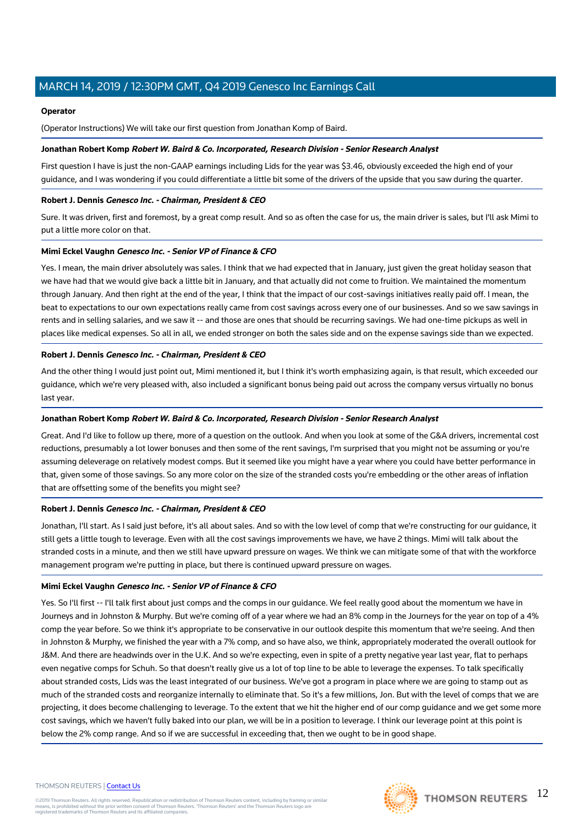#### **Operator**

(Operator Instructions) We will take our first question from Jonathan Komp of Baird.

#### **Jonathan Robert Komp Robert W. Baird & Co. Incorporated, Research Division - Senior Research Analyst**

First question I have is just the non-GAAP earnings including Lids for the year was \$3.46, obviously exceeded the high end of your guidance, and I was wondering if you could differentiate a little bit some of the drivers of the upside that you saw during the quarter.

#### **Robert J. Dennis Genesco Inc. - Chairman, President & CEO**

Sure. It was driven, first and foremost, by a great comp result. And so as often the case for us, the main driver is sales, but I'll ask Mimi to put a little more color on that.

#### **Mimi Eckel Vaughn Genesco Inc. - Senior VP of Finance & CFO**

Yes. I mean, the main driver absolutely was sales. I think that we had expected that in January, just given the great holiday season that we have had that we would give back a little bit in January, and that actually did not come to fruition. We maintained the momentum through January. And then right at the end of the year, I think that the impact of our cost-savings initiatives really paid off. I mean, the beat to expectations to our own expectations really came from cost savings across every one of our businesses. And so we saw savings in rents and in selling salaries, and we saw it -- and those are ones that should be recurring savings. We had one-time pickups as well in places like medical expenses. So all in all, we ended stronger on both the sales side and on the expense savings side than we expected.

#### **Robert J. Dennis Genesco Inc. - Chairman, President & CEO**

And the other thing I would just point out, Mimi mentioned it, but I think it's worth emphasizing again, is that result, which exceeded our guidance, which we're very pleased with, also included a significant bonus being paid out across the company versus virtually no bonus last year.

#### **Jonathan Robert Komp Robert W. Baird & Co. Incorporated, Research Division - Senior Research Analyst**

Great. And I'd like to follow up there, more of a question on the outlook. And when you look at some of the G&A drivers, incremental cost reductions, presumably a lot lower bonuses and then some of the rent savings, I'm surprised that you might not be assuming or you're assuming deleverage on relatively modest comps. But it seemed like you might have a year where you could have better performance in that, given some of those savings. So any more color on the size of the stranded costs you're embedding or the other areas of inflation that are offsetting some of the benefits you might see?

#### **Robert J. Dennis Genesco Inc. - Chairman, President & CEO**

Jonathan, I'll start. As I said just before, it's all about sales. And so with the low level of comp that we're constructing for our guidance, it still gets a little tough to leverage. Even with all the cost savings improvements we have, we have 2 things. Mimi will talk about the stranded costs in a minute, and then we still have upward pressure on wages. We think we can mitigate some of that with the workforce management program we're putting in place, but there is continued upward pressure on wages.

#### **Mimi Eckel Vaughn Genesco Inc. - Senior VP of Finance & CFO**

Yes. So I'll first -- I'll talk first about just comps and the comps in our guidance. We feel really good about the momentum we have in Journeys and in Johnston & Murphy. But we're coming off of a year where we had an 8% comp in the Journeys for the year on top of a 4% comp the year before. So we think it's appropriate to be conservative in our outlook despite this momentum that we're seeing. And then in Johnston & Murphy, we finished the year with a 7% comp, and so have also, we think, appropriately moderated the overall outlook for J&M. And there are headwinds over in the U.K. And so we're expecting, even in spite of a pretty negative year last year, flat to perhaps even negative comps for Schuh. So that doesn't really give us a lot of top line to be able to leverage the expenses. To talk specifically about stranded costs, Lids was the least integrated of our business. We've got a program in place where we are going to stamp out as much of the stranded costs and reorganize internally to eliminate that. So it's a few millions, Jon. But with the level of comps that we are projecting, it does become challenging to leverage. To the extent that we hit the higher end of our comp guidance and we get some more cost savings, which we haven't fully baked into our plan, we will be in a position to leverage. I think our leverage point at this point is below the 2% comp range. And so if we are successful in exceeding that, then we ought to be in good shape.

#### THOMSON REUTERS | [Contact Us](https://my.thomsonreuters.com/ContactUsNew)

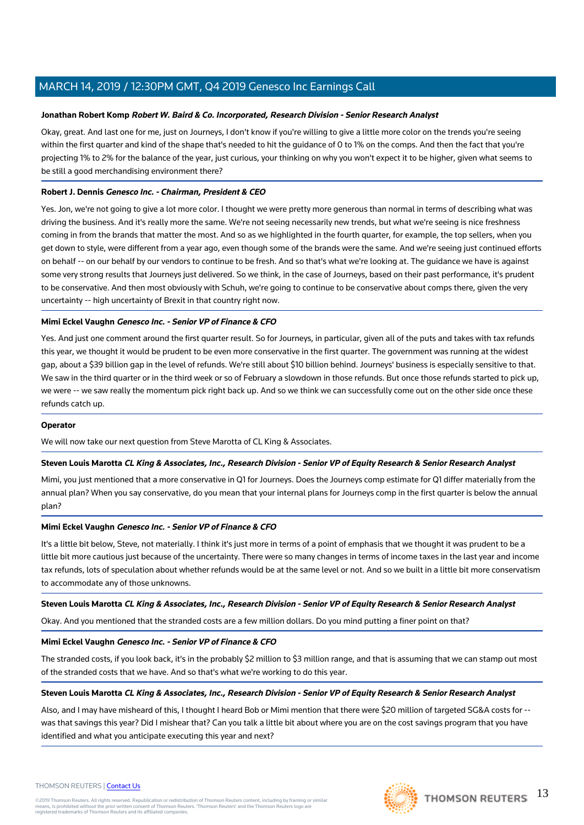#### **Jonathan Robert Komp Robert W. Baird & Co. Incorporated, Research Division - Senior Research Analyst**

Okay, great. And last one for me, just on Journeys, I don't know if you're willing to give a little more color on the trends you're seeing within the first quarter and kind of the shape that's needed to hit the guidance of 0 to 1% on the comps. And then the fact that you're projecting 1% to 2% for the balance of the year, just curious, your thinking on why you won't expect it to be higher, given what seems to be still a good merchandising environment there?

#### **Robert J. Dennis Genesco Inc. - Chairman, President & CEO**

Yes. Jon, we're not going to give a lot more color. I thought we were pretty more generous than normal in terms of describing what was driving the business. And it's really more the same. We're not seeing necessarily new trends, but what we're seeing is nice freshness coming in from the brands that matter the most. And so as we highlighted in the fourth quarter, for example, the top sellers, when you get down to style, were different from a year ago, even though some of the brands were the same. And we're seeing just continued efforts on behalf -- on our behalf by our vendors to continue to be fresh. And so that's what we're looking at. The guidance we have is against some very strong results that Journeys just delivered. So we think, in the case of Journeys, based on their past performance, it's prudent to be conservative. And then most obviously with Schuh, we're going to continue to be conservative about comps there, given the very uncertainty -- high uncertainty of Brexit in that country right now.

#### **Mimi Eckel Vaughn Genesco Inc. - Senior VP of Finance & CFO**

Yes. And just one comment around the first quarter result. So for Journeys, in particular, given all of the puts and takes with tax refunds this year, we thought it would be prudent to be even more conservative in the first quarter. The government was running at the widest gap, about a \$39 billion gap in the level of refunds. We're still about \$10 billion behind. Journeys' business is especially sensitive to that. We saw in the third quarter or in the third week or so of February a slowdown in those refunds. But once those refunds started to pick up, we were -- we saw really the momentum pick right back up. And so we think we can successfully come out on the other side once these refunds catch up.

#### **Operator**

We will now take our next question from Steve Marotta of CL King & Associates.

#### **Steven Louis Marotta CL King & Associates, Inc., Research Division - Senior VP of Equity Research & Senior Research Analyst**

Mimi, you just mentioned that a more conservative in Q1 for Journeys. Does the Journeys comp estimate for Q1 differ materially from the annual plan? When you say conservative, do you mean that your internal plans for Journeys comp in the first quarter is below the annual plan?

#### **Mimi Eckel Vaughn Genesco Inc. - Senior VP of Finance & CFO**

It's a little bit below, Steve, not materially. I think it's just more in terms of a point of emphasis that we thought it was prudent to be a little bit more cautious just because of the uncertainty. There were so many changes in terms of income taxes in the last year and income tax refunds, lots of speculation about whether refunds would be at the same level or not. And so we built in a little bit more conservatism to accommodate any of those unknowns.

#### **Steven Louis Marotta CL King & Associates, Inc., Research Division - Senior VP of Equity Research & Senior Research Analyst**

Okay. And you mentioned that the stranded costs are a few million dollars. Do you mind putting a finer point on that?

#### **Mimi Eckel Vaughn Genesco Inc. - Senior VP of Finance & CFO**

The stranded costs, if you look back, it's in the probably \$2 million to \$3 million range, and that is assuming that we can stamp out most of the stranded costs that we have. And so that's what we're working to do this year.

#### **Steven Louis Marotta CL King & Associates, Inc., Research Division - Senior VP of Equity Research & Senior Research Analyst**

Also, and I may have misheard of this, I thought I heard Bob or Mimi mention that there were \$20 million of targeted SG&A costs for - was that savings this year? Did I mishear that? Can you talk a little bit about where you are on the cost savings program that you have identified and what you anticipate executing this year and next?



#### THOMSON REUTERS | [Contact Us](https://my.thomsonreuters.com/ContactUsNew)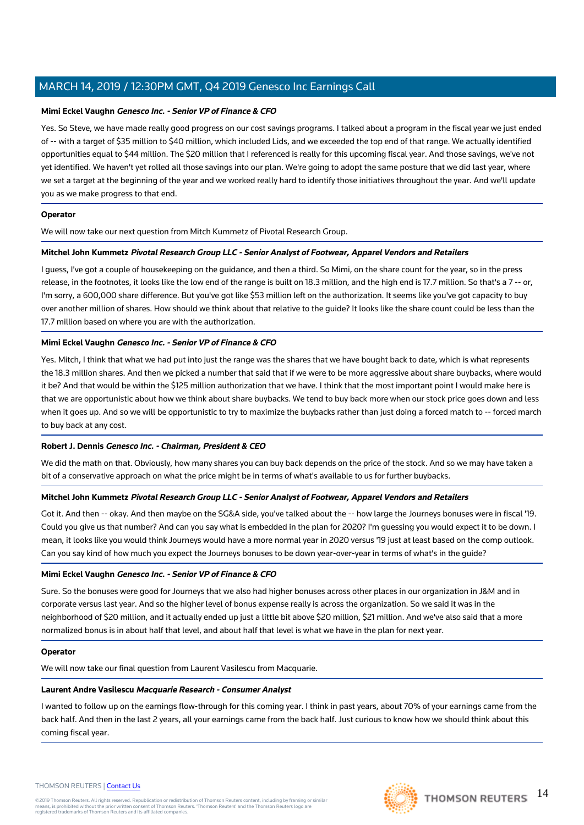#### **Mimi Eckel Vaughn Genesco Inc. - Senior VP of Finance & CFO**

Yes. So Steve, we have made really good progress on our cost savings programs. I talked about a program in the fiscal year we just ended of -- with a target of \$35 million to \$40 million, which included Lids, and we exceeded the top end of that range. We actually identified opportunities equal to \$44 million. The \$20 million that I referenced is really for this upcoming fiscal year. And those savings, we've not yet identified. We haven't yet rolled all those savings into our plan. We're going to adopt the same posture that we did last year, where we set a target at the beginning of the year and we worked really hard to identify those initiatives throughout the year. And we'll update you as we make progress to that end.

#### **Operator**

We will now take our next question from Mitch Kummetz of Pivotal Research Group.

#### **Mitchel John Kummetz Pivotal Research Group LLC - Senior Analyst of Footwear, Apparel Vendors and Retailers**

I guess, I've got a couple of housekeeping on the guidance, and then a third. So Mimi, on the share count for the year, so in the press release, in the footnotes, it looks like the low end of the range is built on 18.3 million, and the high end is 17.7 million. So that's a 7 -- or, I'm sorry, a 600,000 share difference. But you've got like \$53 million left on the authorization. It seems like you've got capacity to buy over another million of shares. How should we think about that relative to the guide? It looks like the share count could be less than the 17.7 million based on where you are with the authorization.

#### **Mimi Eckel Vaughn Genesco Inc. - Senior VP of Finance & CFO**

Yes. Mitch, I think that what we had put into just the range was the shares that we have bought back to date, which is what represents the 18.3 million shares. And then we picked a number that said that if we were to be more aggressive about share buybacks, where would it be? And that would be within the \$125 million authorization that we have. I think that the most important point I would make here is that we are opportunistic about how we think about share buybacks. We tend to buy back more when our stock price goes down and less when it goes up. And so we will be opportunistic to try to maximize the buybacks rather than just doing a forced match to -- forced march to buy back at any cost.

### **Robert J. Dennis Genesco Inc. - Chairman, President & CEO**

We did the math on that. Obviously, how many shares you can buy back depends on the price of the stock. And so we may have taken a bit of a conservative approach on what the price might be in terms of what's available to us for further buybacks.

### **Mitchel John Kummetz Pivotal Research Group LLC - Senior Analyst of Footwear, Apparel Vendors and Retailers**

Got it. And then -- okay. And then maybe on the SG&A side, you've talked about the -- how large the Journeys bonuses were in fiscal '19. Could you give us that number? And can you say what is embedded in the plan for 2020? I'm guessing you would expect it to be down. I mean, it looks like you would think Journeys would have a more normal year in 2020 versus '19 just at least based on the comp outlook. Can you say kind of how much you expect the Journeys bonuses to be down year-over-year in terms of what's in the guide?

#### **Mimi Eckel Vaughn Genesco Inc. - Senior VP of Finance & CFO**

Sure. So the bonuses were good for Journeys that we also had higher bonuses across other places in our organization in J&M and in corporate versus last year. And so the higher level of bonus expense really is across the organization. So we said it was in the neighborhood of \$20 million, and it actually ended up just a little bit above \$20 million, \$21 million. And we've also said that a more normalized bonus is in about half that level, and about half that level is what we have in the plan for next year.

#### **Operator**

We will now take our final question from Laurent Vasilescu from Macquarie.

### **Laurent Andre Vasilescu Macquarie Research - Consumer Analyst**

I wanted to follow up on the earnings flow-through for this coming year. I think in past years, about 70% of your earnings came from the back half. And then in the last 2 years, all your earnings came from the back half. Just curious to know how we should think about this coming fiscal year.

#### THOMSON REUTERS | [Contact Us](https://my.thomsonreuters.com/ContactUsNew)

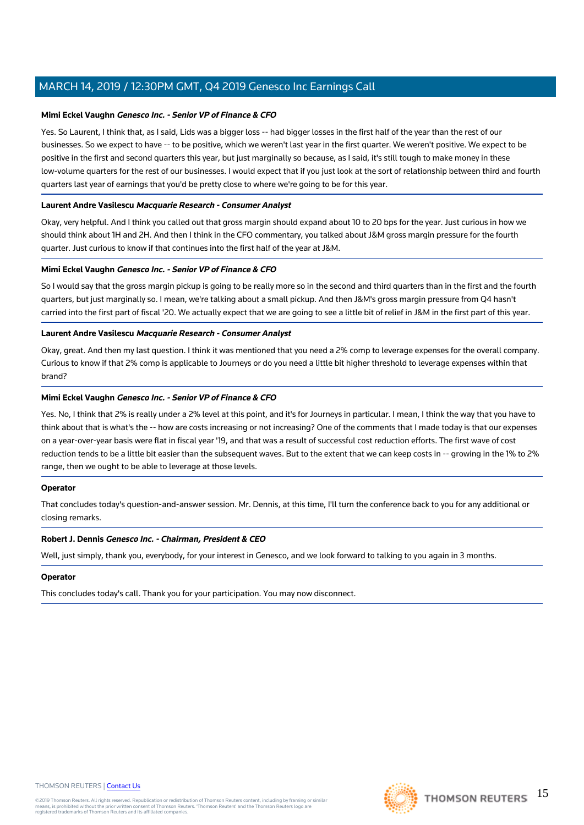#### **Mimi Eckel Vaughn Genesco Inc. - Senior VP of Finance & CFO**

Yes. So Laurent, I think that, as I said, Lids was a bigger loss -- had bigger losses in the first half of the year than the rest of our businesses. So we expect to have -- to be positive, which we weren't last year in the first quarter. We weren't positive. We expect to be positive in the first and second quarters this year, but just marginally so because, as I said, it's still tough to make money in these low-volume quarters for the rest of our businesses. I would expect that if you just look at the sort of relationship between third and fourth quarters last year of earnings that you'd be pretty close to where we're going to be for this year.

#### **Laurent Andre Vasilescu Macquarie Research - Consumer Analyst**

Okay, very helpful. And I think you called out that gross margin should expand about 10 to 20 bps for the year. Just curious in how we should think about 1H and 2H. And then I think in the CFO commentary, you talked about J&M gross margin pressure for the fourth quarter. Just curious to know if that continues into the first half of the year at J&M.

#### **Mimi Eckel Vaughn Genesco Inc. - Senior VP of Finance & CFO**

So I would say that the gross margin pickup is going to be really more so in the second and third quarters than in the first and the fourth quarters, but just marginally so. I mean, we're talking about a small pickup. And then J&M's gross margin pressure from Q4 hasn't carried into the first part of fiscal '20. We actually expect that we are going to see a little bit of relief in J&M in the first part of this year.

#### **Laurent Andre Vasilescu Macquarie Research - Consumer Analyst**

Okay, great. And then my last question. I think it was mentioned that you need a 2% comp to leverage expenses for the overall company. Curious to know if that 2% comp is applicable to Journeys or do you need a little bit higher threshold to leverage expenses within that brand?

#### **Mimi Eckel Vaughn Genesco Inc. - Senior VP of Finance & CFO**

Yes. No, I think that 2% is really under a 2% level at this point, and it's for Journeys in particular. I mean, I think the way that you have to think about that is what's the -- how are costs increasing or not increasing? One of the comments that I made today is that our expenses on a year-over-year basis were flat in fiscal year '19, and that was a result of successful cost reduction efforts. The first wave of cost reduction tends to be a little bit easier than the subsequent waves. But to the extent that we can keep costs in -- growing in the 1% to 2% range, then we ought to be able to leverage at those levels.

#### **Operator**

That concludes today's question-and-answer session. Mr. Dennis, at this time, I'll turn the conference back to you for any additional or closing remarks.

#### **Robert J. Dennis Genesco Inc. - Chairman, President & CEO**

Well, just simply, thank you, everybody, for your interest in Genesco, and we look forward to talking to you again in 3 months.

#### **Operator**

This concludes today's call. Thank you for your participation. You may now disconnect.